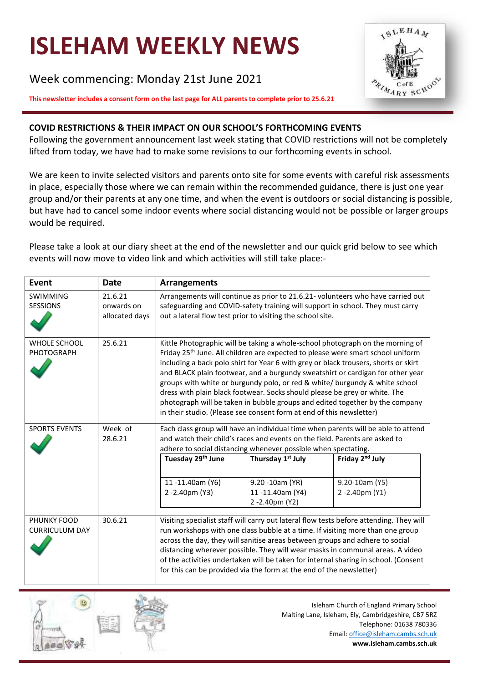# **ISLEHAM WEEKLY NEWS**

Week commencing: Monday 21st June 2021



## **COVID RESTRICTIONS & THEIR IMPACT ON OUR SCHOOL'S FORTHCOMING EVENTS**

Following the government announcement last week stating that COVID restrictions will not be completely lifted from today, we have had to make some revisions to our forthcoming events in school.

We are keen to invite selected visitors and parents onto site for some events with careful risk assessments in place, especially those where we can remain within the recommended guidance, there is just one year group and/or their parents at any one time, and when the event is outdoors or social distancing is possible, but have had to cancel some indoor events where social distancing would not be possible or larger groups would be required.

Please take a look at our diary sheet at the end of the newsletter and our quick grid below to see which events will now move to video link and which activities will still take place:-

| Event                                                                                                        | <b>Date</b>                             | <b>Arrangements</b>                                                                                                                                                                                                                                                                                                                                                                                                                                                                                                                                                                                                                                                         |                                                     |                                                                                                                                                                  |  |
|--------------------------------------------------------------------------------------------------------------|-----------------------------------------|-----------------------------------------------------------------------------------------------------------------------------------------------------------------------------------------------------------------------------------------------------------------------------------------------------------------------------------------------------------------------------------------------------------------------------------------------------------------------------------------------------------------------------------------------------------------------------------------------------------------------------------------------------------------------------|-----------------------------------------------------|------------------------------------------------------------------------------------------------------------------------------------------------------------------|--|
| <b>SWIMMING</b><br><b>SESSIONS</b>                                                                           | 21.6.21<br>onwards on<br>allocated days | Arrangements will continue as prior to 21.6.21- volunteers who have carried out<br>safeguarding and COVID-safety training will support in school. They must carry<br>out a lateral flow test prior to visiting the school site.                                                                                                                                                                                                                                                                                                                                                                                                                                             |                                                     |                                                                                                                                                                  |  |
| <b>WHOLE SCHOOL</b><br><b>PHOTOGRAPH</b>                                                                     | 25.6.21                                 | Kittle Photographic will be taking a whole-school photograph on the morning of<br>Friday 25 <sup>th</sup> June. All children are expected to please were smart school uniform<br>including a back polo shirt for Year 6 with grey or black trousers, shorts or skirt<br>and BLACK plain footwear, and a burgundy sweatshirt or cardigan for other year<br>groups with white or burgundy polo, or red & white/ burgundy & white school<br>dress with plain black footwear. Socks should please be grey or white. The<br>photograph will be taken in bubble groups and edited together by the company<br>in their studio. (Please see consent form at end of this newsletter) |                                                     |                                                                                                                                                                  |  |
| Week of<br><b>SPORTS EVENTS</b><br>28.6.21<br>adhere to social distancing whenever possible when spectating. |                                         |                                                                                                                                                                                                                                                                                                                                                                                                                                                                                                                                                                                                                                                                             |                                                     | Each class group will have an individual time when parents will be able to attend<br>and watch their child's races and events on the field. Parents are asked to |  |
|                                                                                                              |                                         | Tuesday 29 <sup>th</sup> June                                                                                                                                                                                                                                                                                                                                                                                                                                                                                                                                                                                                                                               | Thursday 1 <sup>st</sup> July                       | Friday 2 <sup>nd</sup> July                                                                                                                                      |  |
|                                                                                                              |                                         | 11-11.40am (Y6)<br>2-2.40pm (Y3)                                                                                                                                                                                                                                                                                                                                                                                                                                                                                                                                                                                                                                            | 9.20 -10am (YR)<br>11-11.40am (Y4)<br>2-2.40pm (Y2) | 9.20-10am (Y5)<br>2 -2.40pm (Y1)                                                                                                                                 |  |
| PHUNKY FOOD<br><b>CURRICULUM DAY</b>                                                                         | 30.6.21                                 | Visiting specialist staff will carry out lateral flow tests before attending. They will<br>run workshops with one class bubble at a time. If visiting more than one group<br>across the day, they will sanitise areas between groups and adhere to social<br>distancing wherever possible. They will wear masks in communal areas. A video<br>of the activities undertaken will be taken for internal sharing in school. (Consent<br>for this can be provided via the form at the end of the newsletter)                                                                                                                                                                    |                                                     |                                                                                                                                                                  |  |



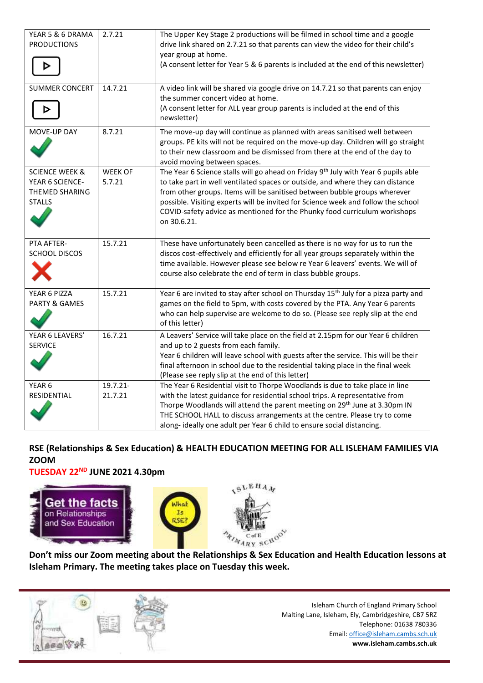| YEAR 5 & 6 DRAMA<br><b>PRODUCTIONS</b>                                          | 2.7.21                   | The Upper Key Stage 2 productions will be filmed in school time and a google<br>drive link shared on 2.7.21 so that parents can view the video for their child's<br>year group at home.<br>(A consent letter for Year 5 & 6 parents is included at the end of this newsletter)                                                                                                                                                                 |
|---------------------------------------------------------------------------------|--------------------------|------------------------------------------------------------------------------------------------------------------------------------------------------------------------------------------------------------------------------------------------------------------------------------------------------------------------------------------------------------------------------------------------------------------------------------------------|
| <b>SUMMER CONCERT</b>                                                           | 14.7.21                  | A video link will be shared via google drive on 14.7.21 so that parents can enjoy<br>the summer concert video at home.<br>(A consent letter for ALL year group parents is included at the end of this<br>newsletter)                                                                                                                                                                                                                           |
| MOVE-UP DAY                                                                     | 8.7.21                   | The move-up day will continue as planned with areas sanitised well between<br>groups. PE kits will not be required on the move-up day. Children will go straight<br>to their new classroom and be dismissed from there at the end of the day to<br>avoid moving between spaces.                                                                                                                                                                |
| <b>SCIENCE WEEK &amp;</b><br>YEAR 6 SCIENCE-<br>THEMED SHARING<br><b>STALLS</b> | <b>WEEK OF</b><br>5.7.21 | The Year 6 Science stalls will go ahead on Friday 9 <sup>th</sup> July with Year 6 pupils able<br>to take part in well ventilated spaces or outside, and where they can distance<br>from other groups. Items will be sanitised between bubble groups wherever<br>possible. Visiting experts will be invited for Science week and follow the school<br>COVID-safety advice as mentioned for the Phunky food curriculum workshops<br>on 30.6.21. |
| PTA AFTER-<br><b>SCHOOL DISCOS</b>                                              | 15.7.21                  | These have unfortunately been cancelled as there is no way for us to run the<br>discos cost-effectively and efficiently for all year groups separately within the<br>time available. However please see below re Year 6 leavers' events. We will of<br>course also celebrate the end of term in class bubble groups.                                                                                                                           |
| YEAR 6 PIZZA<br>PARTY & GAMES                                                   | 15.7.21                  | Year 6 are invited to stay after school on Thursday 15 <sup>th</sup> July for a pizza party and<br>games on the field to 5pm, with costs covered by the PTA. Any Year 6 parents<br>who can help supervise are welcome to do so. (Please see reply slip at the end<br>of this letter)                                                                                                                                                           |
| YEAR 6 LEAVERS'<br><b>SERVICE</b>                                               | 16.7.21                  | A Leavers' Service will take place on the field at 2.15pm for our Year 6 children<br>and up to 2 guests from each family.<br>Year 6 children will leave school with guests after the service. This will be their<br>final afternoon in school due to the residential taking place in the final week<br>(Please see reply slip at the end of this letter)                                                                                       |
| YEAR <sub>6</sub><br>RESIDENTIAL                                                | 19.7.21-<br>21.7.21      | The Year 6 Residential visit to Thorpe Woodlands is due to take place in line<br>with the latest guidance for residential school trips. A representative from<br>Thorpe Woodlands will attend the parent meeting on 29 <sup>th</sup> June at 3.30pm IN<br>THE SCHOOL HALL to discuss arrangements at the centre. Please try to come<br>along-ideally one adult per Year 6 child to ensure social distancing.                                   |

# **RSE (Relationships & Sex Education) & HEALTH EDUCATION MEETING FOR ALL ISLEHAM FAMILIES VIA ZOOM**

**TUESDAY 22ND JUNE 2021 4.30pm**



**Don't miss our Zoom meeting about the Relationships & Sex Education and Health Education lessons at Isleham Primary. The meeting takes place on Tuesday this week.**

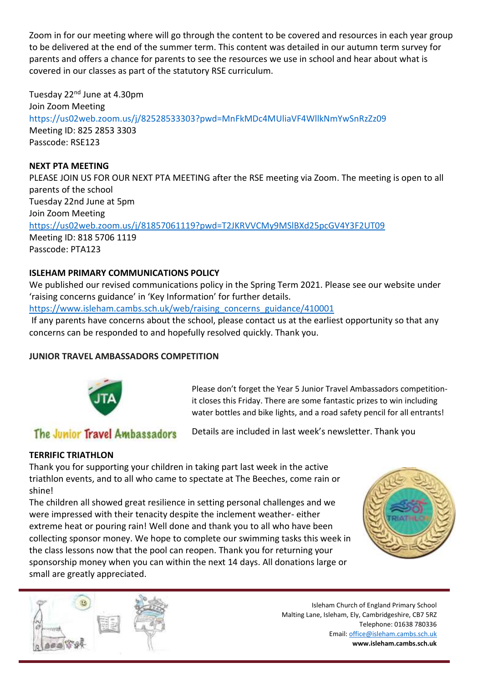Zoom in for our meeting where will go through the content to be covered and resources in each year group to be delivered at the end of the summer term. This content was detailed in our autumn term survey for parents and offers a chance for parents to see the resources we use in school and hear about what is covered in our classes as part of the statutory RSE curriculum.

# Tuesday 22nd June at 4.30pm

Join Zoom Meeting

<https://us02web.zoom.us/j/82528533303?pwd=MnFkMDc4MUliaVF4WllkNmYwSnRzZz09> Meeting ID: 825 2853 3303 Passcode: RSE123

## **NEXT PTA MEETING**

PLEASE JOIN US FOR OUR NEXT PTA MEETING after the RSE meeting via Zoom. The meeting is open to all parents of the school Tuesday 22nd June at 5pm Join Zoom Meeting <https://us02web.zoom.us/j/81857061119?pwd=T2JKRVVCMy9MSlBXd25pcGV4Y3F2UT09> Meeting ID: 818 5706 1119 Passcode: PTA123

# **ISLEHAM PRIMARY COMMUNICATIONS POLICY**

We published our revised communications policy in the Spring Term 2021. Please see our website under 'raising concerns guidance' in 'Key Information' for further details.

[https://www.isleham.cambs.sch.uk/web/raising\\_concerns\\_guidance/410001](https://www.isleham.cambs.sch.uk/web/raising_concerns_guidance/410001)

If any parents have concerns about the school, please contact us at the earliest opportunity so that any concerns can be responded to and hopefully resolved quickly. Thank you.

# **JUNIOR TRAVEL AMBASSADORS COMPETITION**



Please don't forget the Year 5 Junior Travel Ambassadors competitionit closes this Friday. There are some fantastic prizes to win including water bottles and bike lights, and a road safety pencil for all entrants!

# The Junior Travel Ambassadors

Details are included in last week's newsletter. Thank you

# **TERRIFIC TRIATHLON**

Thank you for supporting your children in taking part last week in the active triathlon events, and to all who came to spectate at The Beeches, come rain or shine!

The children all showed great resilience in setting personal challenges and we were impressed with their tenacity despite the inclement weather- either extreme heat or pouring rain! Well done and thank you to all who have been collecting sponsor money. We hope to complete our swimming tasks this week in the class lessons now that the pool can reopen. Thank you for returning your sponsorship money when you can within the next 14 days. All donations large or small are greatly appreciated.



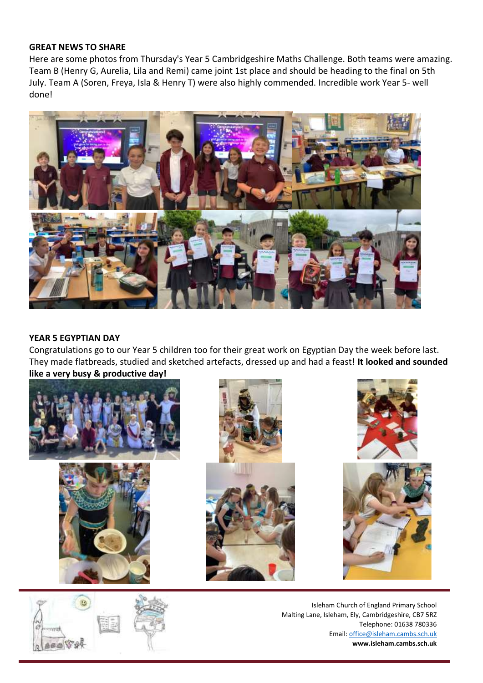#### **GREAT NEWS TO SHARE**

Here are some photos from Thursday's Year 5 Cambridgeshire Maths Challenge. Both teams were amazing. Team B (Henry G, Aurelia, Lila and Remi) came joint 1st place and should be heading to the final on 5th July. Team A (Soren, Freya, Isla & Henry T) were also highly commended. Incredible work Year 5- well done!



## **YEAR 5 EGYPTIAN DAY**

Congratulations go to our Year 5 children too for their great work on Egyptian Day the week before last. They made flatbreads, studied and sketched artefacts, dressed up and had a feast! **It looked and sounded like a very busy & productive day!**









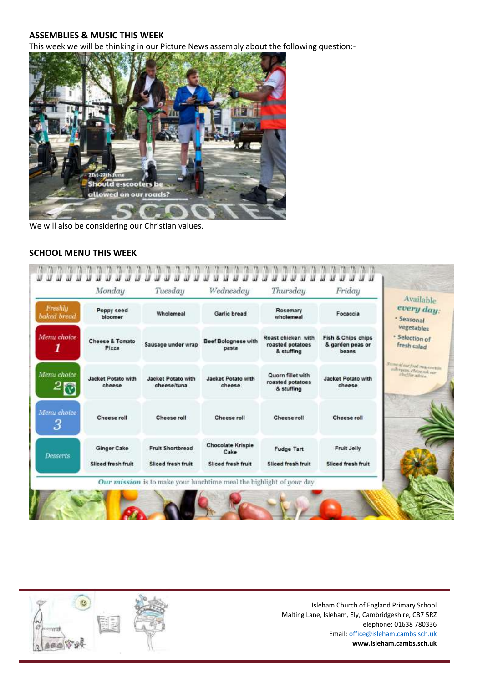#### **ASSEMBLIES & MUSIC THIS WEEK**

This week we will be thinking in our Picture News assembly about the following question:-



We will also be considering our Christian values.

#### **SCHOOL MENU THIS WEEK**



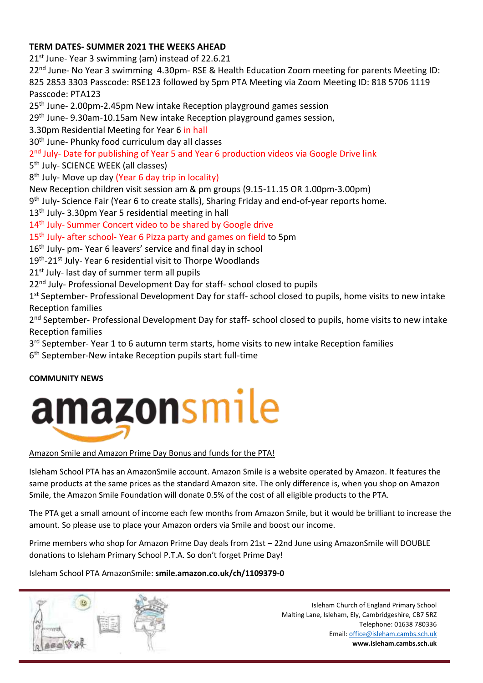# **TERM DATES- SUMMER 2021 THE WEEKS AHEAD**

21<sup>st</sup> June- Year 3 swimming (am) instead of 22.6.21

22<sup>nd</sup> June- No Year 3 swimming 4.30pm- RSE & Health Education Zoom meeting for parents Meeting ID: 825 2853 3303 Passcode: RSE123 followed by 5pm PTA Meeting via Zoom Meeting ID: 818 5706 1119 Passcode: PTA123

25<sup>th</sup> June- 2.00pm-2.45pm New intake Reception playground games session

29<sup>th</sup> June- 9.30am-10.15am New intake Reception playground games session,

3.30pm Residential Meeting for Year 6 in hall

30th June- Phunky food curriculum day all classes

2<sup>nd</sup> July- Date for publishing of Year 5 and Year 6 production videos via Google Drive link

5<sup>th</sup> July- SCIENCE WEEK (all classes)

8<sup>th</sup> July- Move up day (Year 6 day trip in locality)

New Reception children visit session am & pm groups (9.15-11.15 OR 1.00pm-3.00pm)

9<sup>th</sup> July- Science Fair (Year 6 to create stalls), Sharing Friday and end-of-year reports home.

13<sup>th</sup> July- 3.30pm Year 5 residential meeting in hall

14<sup>th</sup> July- Summer Concert video to be shared by Google drive

15<sup>th</sup> July- after school- Year 6 Pizza party and games on field to 5pm

16th July- pm- Year 6 leavers' service and final day in school

19<sup>th</sup>-21<sup>st</sup> July- Year 6 residential visit to Thorpe Woodlands

21<sup>st</sup> July- last day of summer term all pupils

22<sup>nd</sup> July- Professional Development Day for staff- school closed to pupils

1<sup>st</sup> September- Professional Development Day for staff- school closed to pupils, home visits to new intake Reception families

2<sup>nd</sup> September- Professional Development Day for staff- school closed to pupils, home visits to new intake Reception families

3<sup>rd</sup> September- Year 1 to 6 autumn term starts, home visits to new intake Reception families

6 th September-New intake Reception pupils start full-time

# **COMMUNITY NEWS**



# Amazon Smile and Amazon Prime Day Bonus and funds for the PTA!

Isleham School PTA has an AmazonSmile account. Amazon Smile is a website operated by Amazon. It features the same products at the same prices as the standard Amazon site. The only difference is, when you shop on Amazon Smile, the Amazon Smile Foundation will donate 0.5% of the cost of all eligible products to the PTA.

The PTA get a small amount of income each few months from Amazon Smile, but it would be brilliant to increase the amount. So please use to place your Amazon orders via Smile and boost our income.

Prime members who shop for Amazon Prime Day deals from 21st – 22nd June using AmazonSmile will DOUBLE donations to Isleham Primary School P.T.A. So don't forget Prime Day!

Isleham School PTA AmazonSmile: **smile.amazon.co.uk/ch/1109379-0**

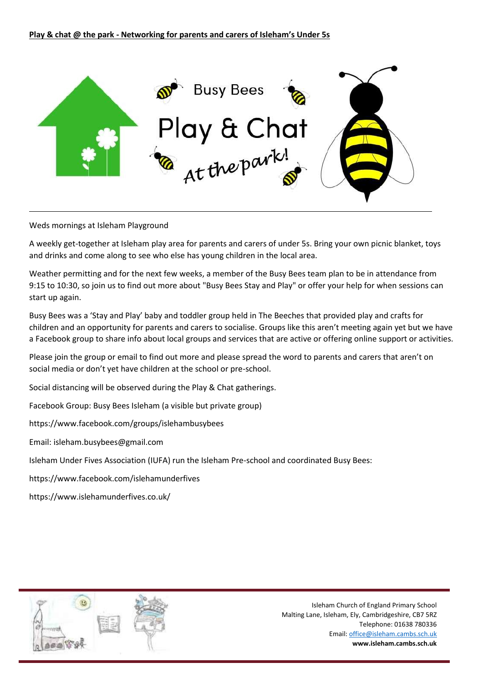

Weds mornings at Isleham Playground

A weekly get-together at Isleham play area for parents and carers of under 5s. Bring your own picnic blanket, toys and drinks and come along to see who else has young children in the local area.

Weather permitting and for the next few weeks, a member of the Busy Bees team plan to be in attendance from 9:15 to 10:30, so join us to find out more about "Busy Bees Stay and Play" or offer your help for when sessions can start up again.

Busy Bees was a 'Stay and Play' baby and toddler group held in The Beeches that provided play and crafts for children and an opportunity for parents and carers to socialise. Groups like this aren't meeting again yet but we have a Facebook group to share info about local groups and services that are active or offering online support or activities.

Please join the group or email to find out more and please spread the word to parents and carers that aren't on social media or don't yet have children at the school or pre-school.

Social distancing will be observed during the Play & Chat gatherings.

Facebook Group: Busy Bees Isleham (a visible but private group)

https://www.facebook.com/groups/islehambusybees

Email: isleham.busybees@gmail.com

Isleham Under Fives Association (IUFA) run the Isleham Pre-school and coordinated Busy Bees:

https://www.facebook.com/islehamunderfives

https://www.islehamunderfives.co.uk/